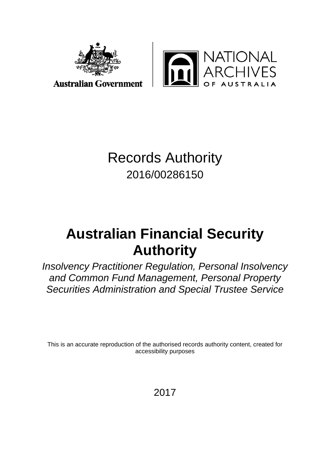



**Australian Government** 

# Records Authority 2016/00286150

# **Australian Financial Security Authority**

*Insolvency Practitioner Regulation, Personal Insolvency and Common Fund Management, Personal Property Securities Administration and Special Trustee Service*

This is an accurate reproduction of the authorised records authority content, created for accessibility purposes

2017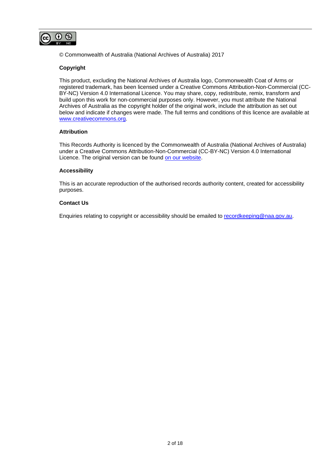

© Commonwealth of Australia (National Archives of Australia) 2017

#### **Copyright**

This product, excluding the National Archives of Australia logo, Commonwealth Coat of Arms or registered trademark, has been licensed under a Creative Commons Attribution-Non-Commercial (CC-BY-NC) Version 4.0 International Licence. You may share, copy, redistribute, remix, transform and build upon this work for non-commercial purposes only. However, you must attribute the National Archives of Australia as the copyright holder of the original work, include the attribution as set out below and indicate if changes were made. The full terms and conditions of this licence are available at [www.creativecommons.org.](http://www.creativecommons.org/)

#### **Attribution**

This Records Authority is licenced by the Commonwealth of Australia (National Archives of Australia) under a Creative Commons Attribution-Non-Commercial (CC-BY-NC) Version 4.0 International Licence. The original version can be found [on our website.](http://www.naa.gov.au/)

#### **Accessibility**

This is an accurate reproduction of the authorised records authority content, created for accessibility purposes.

#### **Contact Us**

Enquiries relating to copyright or accessibility should be emailed to [recordkeeping@naa.gov.au.](mailto:recordkeeping@naa.gov.au)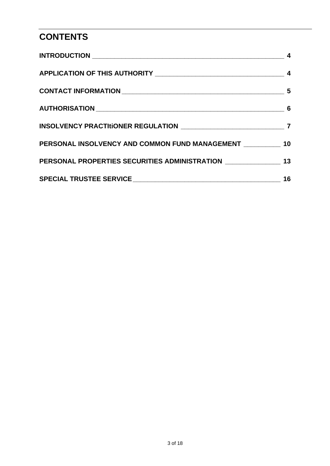# **CONTENTS**

| PERSONAL INSOLVENCY AND COMMON FUND MANAGEMENT __________ 10                         |    |
|--------------------------------------------------------------------------------------|----|
| PERSONAL PROPERTIES SECURITIES ADMINISTRATION ___________________________________ 13 |    |
|                                                                                      | 16 |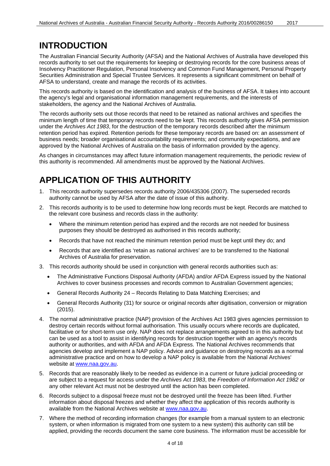## <span id="page-3-0"></span>**INTRODUCTION**

The Australian Financial Security Authority (AFSA) and the National Archives of Australia have developed this records authority to set out the requirements for keeping or destroying records for the core business areas of Insolvency Practitioner Regulation, Personal Insolvency and Common Fund Management, Personal Property Securities Administration and Special Trustee Services. It represents a significant commitment on behalf of AFSA to understand, create and manage the records of its activities.

This records authority is based on the identification and analysis of the business of AFSA. It takes into account the agency's legal and organisational information management requirements, and the interests of stakeholders, the agency and the National Archives of Australia.

The records authority sets out those records that need to be retained as national archives and specifies the minimum length of time that temporary records need to be kept. This records authority gives AFSA permission under the *Archives Act 1983*, for the destruction of the temporary records described after the minimum retention period has expired. Retention periods for these temporary records are based on: an assessment of business needs; broader organisational accountability requirements; and community expectations, and are approved by the National Archives of Australia on the basis of information provided by the agency.

As changes in circumstances may affect future information management requirements, the periodic review of this authority is recommended. All amendments must be approved by the National Archives.

# <span id="page-3-1"></span>**APPLICATION OF THIS AUTHORITY**

- 1. This records authority supersedes records authority 2006/435306 (2007). The superseded records authority cannot be used by AFSA after the date of issue of this authority.
- 2. This records authority is to be used to determine how long records must be kept. Records are matched to the relevant core business and records class in the authority:
	- Where the minimum retention period has expired and the records are not needed for business purposes they should be destroyed as authorised in this records authority;
	- Records that have not reached the minimum retention period must be kept until they do; and
	- Records that are identified as 'retain as national archives' are to be transferred to the National Archives of Australia for preservation.
- 3. This records authority should be used in conjunction with general records authorities such as:
	- The Administrative Functions Disposal Authority (AFDA) and/or AFDA Express issued by the National Archives to cover business processes and records common to Australian Government agencies;
	- General Records Authority 24 Records Relating to Data Matching Exercises; and
	- General Records Authority (31) for source or original records after digitisation, conversion or migration (2015).
- 4. The normal administrative practice (NAP) provision of the Archives Act 1983 gives agencies permission to destroy certain records without formal authorisation. This usually occurs where records are duplicated, facilitative or for short-term use only. NAP does not replace arrangements agreed to in this authority but can be used as a tool to assist in identifying records for destruction together with an agency's records authority or authorities, and with AFDA and AFDA Express. The National Archives recommends that agencies develop and implement a NAP policy. Advice and guidance on destroying records as a normal administrative practice and on how to develop a NAP policy is available from the National Archives' website at [www.naa.gov.au.](http://www.naa.gov.au/)
- 5. Records that are reasonably likely to be needed as evidence in a current or future judicial proceeding or are subject to a request for access under the *Archives Act 1983*, the *Freedom of Information Act 1982* or any other relevant Act must not be destroyed until the action has been completed.
- 6. Records subject to a disposal freeze must not be destroyed until the freeze has been lifted. Further information about disposal freezes and whether they affect the application of this records authority is available from the National Archives website at [www.naa.gov.au.](http://www.naa.gov.au/)
- 7. Where the method of recording information changes (for example from a manual system to an electronic system, or when information is migrated from one system to a new system) this authority can still be applied, providing the records document the same core business. The information must be accessible for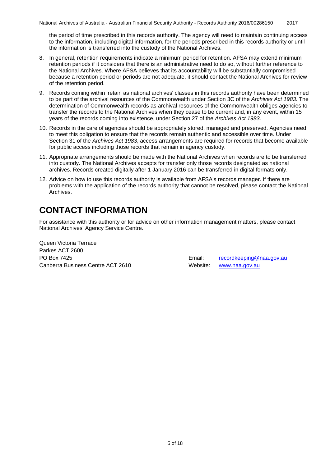the period of time prescribed in this records authority. The agency will need to maintain continuing access to the information, including digital information, for the periods prescribed in this records authority or until the information is transferred into the custody of the National Archives.

- 8. In general, retention requirements indicate a minimum period for retention. AFSA may extend minimum retention periods if it considers that there is an administrative need to do so, without further reference to the National Archives. Where AFSA believes that its accountability will be substantially compromised because a retention period or periods are not adequate, it should contact the National Archives for review of the retention period.
- 9. Records coming within 'retain as national archives' classes in this records authority have been determined to be part of the archival resources of the Commonwealth under Section 3C of the *Archives Act 1983*. The determination of Commonwealth records as archival resources of the Commonwealth obliges agencies to transfer the records to the National Archives when they cease to be current and, in any event, within 15 years of the records coming into existence, under Section 27 of the *Archives Act 1983*.
- 10. Records in the care of agencies should be appropriately stored, managed and preserved. Agencies need to meet this obligation to ensure that the records remain authentic and accessible over time. Under Section 31 of the *Archives Act 1983*, access arrangements are required for records that become available for public access including those records that remain in agency custody.
- 11. Appropriate arrangements should be made with the National Archives when records are to be transferred into custody. The National Archives accepts for transfer only those records designated as national archives. Records created digitally after 1 January 2016 can be transferred in digital formats only.
- 12. Advice on how to use this records authority is available from AFSA's records manager. If there are problems with the application of the records authority that cannot be resolved, please contact the National **Archives**

# <span id="page-4-0"></span>**CONTACT INFORMATION**

For assistance with this authority or for advice on other information management matters, please contact National Archives' Agency Service Centre.

Queen Victoria Terrace Parkes ACT 2600 PO Box 7425 Email: [recordkeeping@naa.gov.au](mailto:recordkeeping@naa.gov.au) Canberra Business Centre ACT 2610 Website: [www.naa.gov.au](http://www.naa.gov.au/)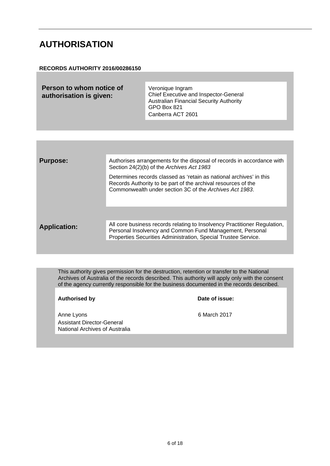#### <span id="page-5-0"></span>**AUTHORISATION**

#### **RECORDS AUTHORITY 2016/00286150**

| Person to whom notice of<br>authorisation is given: | Veronique Ingram<br><b>Chief Executive and Inspector-General</b><br><b>Australian Financial Security Authority</b><br>GPO Box 821 |
|-----------------------------------------------------|-----------------------------------------------------------------------------------------------------------------------------------|
|                                                     | Canberra ACT 2601                                                                                                                 |

| <b>Purpose:</b>     | Authorises arrangements for the disposal of records in accordance with<br>Section 24(2)(b) of the Archives Act 1983                                                                                     |
|---------------------|---------------------------------------------------------------------------------------------------------------------------------------------------------------------------------------------------------|
|                     | Determines records classed as 'retain as national archives' in this<br>Records Authority to be part of the archival resources of the<br>Commonwealth under section 3C of the Archives Act 1983.         |
|                     |                                                                                                                                                                                                         |
| <b>Application:</b> | All core business records relating to Insolvency Practitioner Regulation,<br>Personal Insolvency and Common Fund Management, Personal<br>Properties Securities Administration, Special Trustee Service. |
|                     |                                                                                                                                                                                                         |

This authority gives permission for the destruction, retention or transfer to the National Archives of Australia of the records described. This authority will apply only with the consent of the agency currently responsible for the business documented in the records described.

**Authorised by Date of issue:**

Anne Lyons 6 March 2017 Assistant Director-General National Archives of Australia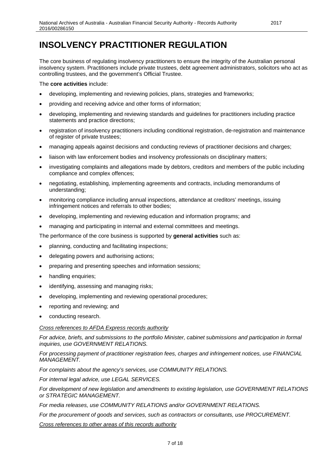### <span id="page-6-0"></span>**INSOLVENCY PRACTITIONER REGULATION**

The core business of regulating insolvency practitioners to ensure the integrity of the Australian personal insolvency system. Practitioners include private trustees, debt agreement administrators, solicitors who act as controlling trustees, and the government's Official Trustee.

The **core activities** include:

- developing, implementing and reviewing policies, plans, strategies and frameworks;
- providing and receiving advice and other forms of information;
- developing, implementing and reviewing standards and guidelines for practitioners including practice statements and practice directions;
- registration of insolvency practitioners including conditional registration, de-registration and maintenance of register of private trustees;
- managing appeals against decisions and conducting reviews of practitioner decisions and charges;
- liaison with law enforcement bodies and insolvency professionals on disciplinary matters;
- investigating complaints and allegations made by debtors, creditors and members of the public including compliance and complex offences;
- negotiating, establishing, implementing agreements and contracts, including memorandums of understanding;
- monitoring compliance including annual inspections, attendance at creditors' meetings, issuing infringement notices and referrals to other bodies;
- developing, implementing and reviewing education and information programs; and
- managing and participating in internal and external committees and meetings.

The performance of the core business is supported by **general activities** such as:

- planning, conducting and facilitating inspections;
- delegating powers and authorising actions;
- preparing and presenting speeches and information sessions;
- handling enquiries;
- identifying, assessing and managing risks;
- developing, implementing and reviewing operational procedures;
- reporting and reviewing; and
- conducting research.

#### *Cross references to AFDA Express records authority*

*For advice, briefs, and submissions to the portfolio Minister, cabinet submissions and participation in formal inquiries, use GOVERNMENT RELATIONS.*

*For processing payment of practitioner registration fees, charges and infringement notices, use FINANCIAL MANAGEMENT.*

*For complaints about the agency's services, use COMMUNITY RELATIONS.*

*For internal legal advice, use LEGAL SERVICES.*

*For development of new legislation and amendments to existing legislation, use GOVERNMENT RELATIONS or STRATEGIC MANAGEMENT.*

*For media releases, use COMMUNITY RELATIONS and/or GOVERNMENT RELATIONS.* 

*For the procurement of goods and services, such as contractors or consultants, use PROCUREMENT.*

*Cross references to other areas of this records authority*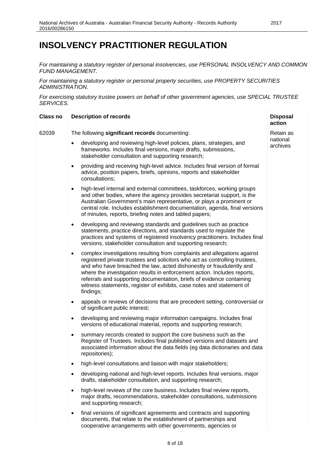#### **INSOLVENCY PRACTITIONER REGULATION**

*For maintaining a statutory register of personal insolvencies, use PERSONAL INSOLVENCY AND COMMON FUND MANAGEMENT.* 

*For maintaining a statutory register or personal property securities, use PROPERTY SECURITIES ADMINISTRATION.*

*For exercising statutory trustee powers on behalf of other government agencies, use SPECIAL TRUSTEE SERVICES.*

| <b>Class no</b> | <b>Description of records</b>                                                                                                                                                                                                                                                                                                                                                                                                                                                           | <b>Disposal</b><br>action         |
|-----------------|-----------------------------------------------------------------------------------------------------------------------------------------------------------------------------------------------------------------------------------------------------------------------------------------------------------------------------------------------------------------------------------------------------------------------------------------------------------------------------------------|-----------------------------------|
| 62039           | The following significant records documenting:<br>developing and reviewing high-level policies, plans, strategies, and                                                                                                                                                                                                                                                                                                                                                                  | Retain as<br>national<br>archives |
|                 | frameworks. Includes final versions, major drafts, submissions,<br>stakeholder consultation and supporting research;                                                                                                                                                                                                                                                                                                                                                                    |                                   |
|                 | providing and receiving high-level advice. Includes final version of formal<br>$\bullet$<br>advice, position papers, briefs, opinions, reports and stakeholder<br>consultations;                                                                                                                                                                                                                                                                                                        |                                   |
|                 | high-level internal and external committees, taskforces, working groups<br>$\bullet$<br>and other bodies, where the agency provides secretariat support, is the<br>Australian Government's main representative, or plays a prominent or<br>central role. Includes establishment documentation, agenda, final versions<br>of minutes, reports, briefing notes and tabled papers;                                                                                                         |                                   |
|                 | developing and reviewing standards and guidelines such as practice<br>$\bullet$<br>statements, practice directions, and standards used to regulate the<br>practices and systems of registered insolvency practitioners. Includes final<br>versions, stakeholder consultation and supporting research;                                                                                                                                                                                   |                                   |
|                 | complex investigations resulting from complaints and allegations against<br>$\bullet$<br>registered private trustees and solicitors who act as controlling trustees,<br>and who have breached the law, acted dishonestly or fraudulently and<br>where the investigation results in enforcement action. Includes reports,<br>referrals and supporting documentation, briefs of evidence containing<br>witness statements, register of exhibits, case notes and statement of<br>findings; |                                   |
|                 | appeals or reviews of decisions that are precedent setting, controversial or<br>$\bullet$<br>of significant public interest;                                                                                                                                                                                                                                                                                                                                                            |                                   |
|                 | developing and reviewing major information campaigns. Includes final<br>$\bullet$<br>versions of educational material, reports and supporting research;                                                                                                                                                                                                                                                                                                                                 |                                   |
|                 | summary records created to support the core business such as the<br>Register of Trustees. Includes final published versions and datasets and<br>associated information about the data fields (eg data dictionaries and data<br>repositories);                                                                                                                                                                                                                                           |                                   |
|                 | high-level consultations and liaison with major stakeholders;                                                                                                                                                                                                                                                                                                                                                                                                                           |                                   |
|                 | developing national and high-level reports. Includes final versions, major<br>drafts, stakeholder consultation, and supporting research;                                                                                                                                                                                                                                                                                                                                                |                                   |
|                 | high-level reviews of the core business. Includes final review reports,<br>major drafts, recommendations, stakeholder consultations, submissions<br>and supporting research;                                                                                                                                                                                                                                                                                                            |                                   |
|                 | final versions of significant agreements and contracts and supporting<br>documents, that relate to the establishment of partnerships and<br>cooperative arrangements with other governments, agencies or                                                                                                                                                                                                                                                                                |                                   |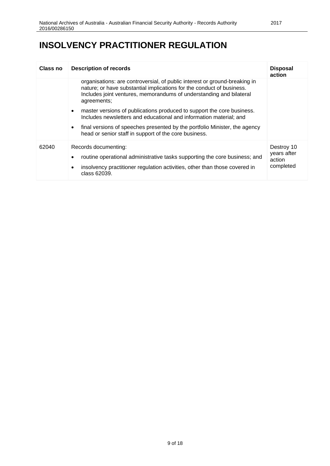# **INSOLVENCY PRACTITIONER REGULATION**

| Class no | <b>Description of records</b>                                                                                                                                                                                                                                                                                 | <b>Disposal</b><br>action                        |
|----------|---------------------------------------------------------------------------------------------------------------------------------------------------------------------------------------------------------------------------------------------------------------------------------------------------------------|--------------------------------------------------|
|          | organisations: are controversial, of public interest or ground-breaking in<br>nature; or have substantial implications for the conduct of business.<br>Includes joint ventures, memorandums of understanding and bilateral<br>agreements;                                                                     |                                                  |
|          | master versions of publications produced to support the core business.<br>$\bullet$<br>Includes newsletters and educational and information material; and<br>final versions of speeches presented by the portfolio Minister, the agency<br>$\bullet$<br>head or senior staff in support of the core business. |                                                  |
| 62040    | Records documenting:<br>routine operational administrative tasks supporting the core business; and<br>insolvency practitioner regulation activities, other than those covered in<br>$\bullet$<br>class 62039.                                                                                                 | Destroy 10<br>years after<br>action<br>completed |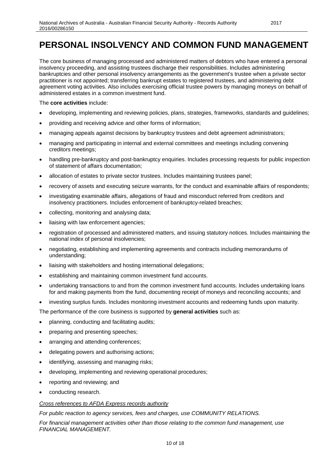### <span id="page-9-0"></span>**PERSONAL INSOLVENCY AND COMMON FUND MANAGEMENT**

The core business of managing processed and administered matters of debtors who have entered a personal insolvency proceeding, and assisting trustees discharge their responsibilities. Includes administering bankruptcies and other personal insolvency arrangements as the government's trustee when a private sector practitioner is not appointed; transferring bankrupt estates to registered trustees, and administering debt agreement voting activities. Also includes exercising official trustee powers by managing moneys on behalf of administered estates in a common investment fund.

#### The **core activities** include:

- developing, implementing and reviewing policies, plans, strategies, frameworks, standards and guidelines;
- providing and receiving advice and other forms of information;
- managing appeals against decisions by bankruptcy trustees and debt agreement administrators;
- managing and participating in internal and external committees and meetings including convening creditors meetings;
- handling pre-bankruptcy and post-bankruptcy enquiries. Includes processing requests for public inspection of statement of affairs documentation;
- allocation of estates to private sector trustees. Includes maintaining trustees panel;
- recovery of assets and executing seizure warrants, for the conduct and examinable affairs of respondents;
- investigating examinable affairs, allegations of fraud and misconduct referred from creditors and insolvency practitioners. Includes enforcement of bankruptcy-related breaches;
- collecting, monitoring and analysing data;
- liaising with law enforcement agencies;
- registration of processed and administered matters, and issuing statutory notices. Includes maintaining the national index of personal insolvencies;
- negotiating, establishing and implementing agreements and contracts including memorandums of understanding;
- liaising with stakeholders and hosting international delegations;
- establishing and maintaining common investment fund accounts.
- undertaking transactions to and from the common investment fund accounts. Includes undertaking loans for and making payments from the fund, documenting receipt of moneys and reconciling accounts; and
- investing surplus funds. Includes monitoring investment accounts and redeeming funds upon maturity.

The performance of the core business is supported by **general activities** such as:

- planning, conducting and facilitating audits;
- preparing and presenting speeches;
- arranging and attending conferences;
- delegating powers and authorising actions;
- identifying, assessing and managing risks;
- developing, implementing and reviewing operational procedures;
- reporting and reviewing; and
- conducting research.

#### *Cross references to AFDA Express records authority*

*For public reaction to agency services, fees and charges, use COMMUNITY RELATIONS.* 

*For financial management activities other than those relating to the common fund management, use FINANCIAL MANAGEMENT.*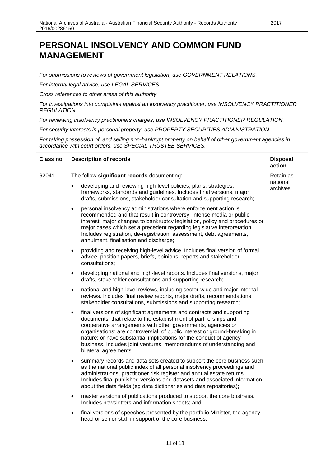### **PERSONAL INSOLVENCY AND COMMON FUND MANAGEMENT**

*For submissions to reviews of government legislation, use GOVERNMENT RELATIONS.* 

*For internal legal advice, use LEGAL SERVICES.*

*Cross references to other areas of this authority*

*For investigations into complaints against an insolvency practitioner, use INSOLVENCY PRACTITIONER REGULATION.*

*For reviewing insolvency practitioners charges, use INSOLVENCY PRACTITIONER REGULATION.*

*For security interests in personal property, use PROPERTY SECURITIES ADMINISTRATION.*

*For taking possession of, and selling non-bankrupt property on behalf of other government agencies in accordance with court orders, use SPECIAL TRUSTEE SERVICES.*

| <b>Class no</b> | <b>Description of records</b>                                                                                                                                                                                                                                                                                                                                                                                                                                             | <b>Disposal</b><br>action |
|-----------------|---------------------------------------------------------------------------------------------------------------------------------------------------------------------------------------------------------------------------------------------------------------------------------------------------------------------------------------------------------------------------------------------------------------------------------------------------------------------------|---------------------------|
| 62041           | The follow significant records documenting:                                                                                                                                                                                                                                                                                                                                                                                                                               | Retain as                 |
|                 | developing and reviewing high-level policies, plans, strategies,<br>frameworks, standards and guidelines. Includes final versions, major<br>drafts, submissions, stakeholder consultation and supporting research;                                                                                                                                                                                                                                                        | national<br>archives      |
|                 | personal insolvency administrations where enforcement action is<br>$\bullet$<br>recommended and that result in controversy, intense media or public<br>interest, major changes to bankruptcy legislation, policy and procedures or<br>major cases which set a precedent regarding legislative interpretation.<br>Includes registration, de-registration, assessment, debt agreements,<br>annulment, finalisation and discharge;                                           |                           |
|                 | providing and receiving high-level advice. Includes final version of formal<br>$\bullet$<br>advice, position papers, briefs, opinions, reports and stakeholder<br>consultations;                                                                                                                                                                                                                                                                                          |                           |
|                 | developing national and high-level reports. Includes final versions, major<br>$\bullet$<br>drafts, stakeholder consultations and supporting research;                                                                                                                                                                                                                                                                                                                     |                           |
|                 | national and high-level reviews, including sector-wide and major internal<br>$\bullet$<br>reviews. Includes final review reports, major drafts, recommendations,<br>stakeholder consultations, submissions and supporting research;                                                                                                                                                                                                                                       |                           |
|                 | final versions of significant agreements and contracts and supporting<br>$\bullet$<br>documents, that relate to the establishment of partnerships and<br>cooperative arrangements with other governments, agencies or<br>organisations: are controversial, of public interest or ground-breaking in<br>nature; or have substantial implications for the conduct of agency<br>business. Includes joint ventures, memorandums of understanding and<br>bilateral agreements; |                           |
|                 | summary records and data sets created to support the core business such<br>$\bullet$<br>as the national public index of all personal insolvency proceedings and<br>administrations, practitioner risk register and annual estate returns.<br>Includes final published versions and datasets and associated information<br>about the data fields (eg data dictionaries and data repositories);                                                                             |                           |
|                 | master versions of publications produced to support the core business.<br>$\bullet$<br>Includes newsletters and information sheets; and                                                                                                                                                                                                                                                                                                                                   |                           |
|                 | final versions of speeches presented by the portfolio Minister, the agency<br>head or senior staff in support of the core business.                                                                                                                                                                                                                                                                                                                                       |                           |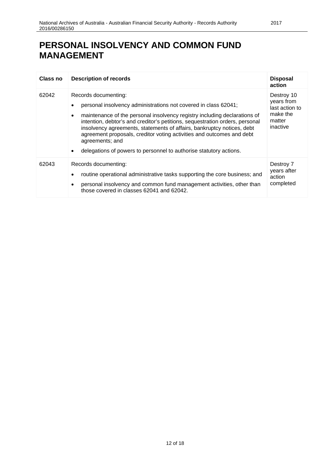# **PERSONAL INSOLVENCY AND COMMON FUND MANAGEMENT**

| Class no | <b>Description of records</b>                                                                                                                                                                                                                                                                                                                                                                                                                                                                                                           | <b>Disposal</b><br>action                                                    |
|----------|-----------------------------------------------------------------------------------------------------------------------------------------------------------------------------------------------------------------------------------------------------------------------------------------------------------------------------------------------------------------------------------------------------------------------------------------------------------------------------------------------------------------------------------------|------------------------------------------------------------------------------|
| 62042    | Records documenting:<br>personal insolvency administrations not covered in class 62041;<br>$\bullet$<br>maintenance of the personal insolvency registry including declarations of<br>$\bullet$<br>intention, debtor's and creditor's petitions, sequestration orders, personal<br>insolvency agreements, statements of affairs, bankruptcy notices, debt<br>agreement proposals, creditor voting activities and outcomes and debt<br>agreements; and<br>delegations of powers to personnel to authorise statutory actions.<br>$\bullet$ | Destroy 10<br>years from<br>last action to<br>make the<br>matter<br>inactive |
| 62043    | Records documenting:<br>routine operational administrative tasks supporting the core business; and<br>$\bullet$<br>personal insolvency and common fund management activities, other than<br>$\bullet$<br>those covered in classes 62041 and 62042.                                                                                                                                                                                                                                                                                      | Destroy 7<br>years after<br>action<br>completed                              |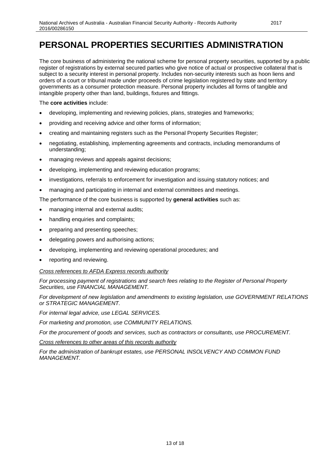### <span id="page-12-0"></span>**PERSONAL PROPERTIES SECURITIES ADMINISTRATION**

The core business of administering the national scheme for personal property securities, supported by a public register of registrations by external secured parties who give notice of actual or prospective collateral that is subject to a security interest in personal property. Includes non-security interests such as hoon liens and orders of a court or tribunal made under proceeds of crime legislation registered by state and territory governments as a consumer protection measure. Personal property includes all forms of tangible and intangible property other than land, buildings, fixtures and fittings.

#### The **core activities** include:

- developing, implementing and reviewing policies, plans, strategies and frameworks;
- providing and receiving advice and other forms of information;
- creating and maintaining registers such as the Personal Property Securities Register;
- negotiating, establishing, implementing agreements and contracts, including memorandums of understanding;
- managing reviews and appeals against decisions;
- developing, implementing and reviewing education programs;
- investigations, referrals to enforcement for investigation and issuing statutory notices; and
- managing and participating in internal and external committees and meetings.

The performance of the core business is supported by **general activities** such as:

- managing internal and external audits;
- handling enquiries and complaints;
- preparing and presenting speeches;
- delegating powers and authorising actions;
- developing, implementing and reviewing operational procedures; and
- reporting and reviewing.

#### *Cross references to AFDA Express records authority*

*For processing payment of registrations and search fees relating to the Register of Personal Property Securities, use FINANCIAL MANAGEMENT.*

*For development of new legislation and amendments to existing legislation, use GOVERNMENT RELATIONS or STRATEGIC MANAGEMENT.*

*For internal legal advice, use LEGAL SERVICES.*

*For marketing and promotion, use COMMUNITY RELATIONS.*

*For the procurement of goods and services, such as contractors or consultants, use PROCUREMENT.*

*Cross references to other areas of this records authority*

*For the administration of bankrupt estates, use PERSONAL INSOLVENCY AND COMMON FUND MANAGEMENT.*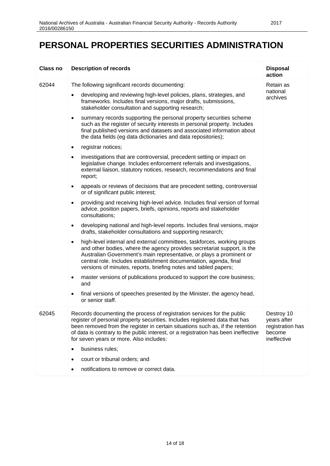### **PERSONAL PROPERTIES SECURITIES ADMINISTRATION**

| <b>Class no</b> | <b>Description of records</b>                                                                                                                                                                                                                                                                                                                                                                                                                                                                                                                                                                                                                                                                                                                                                                                                                                                                                                                                                                                                                                                                                                                                                                                                                                                                                                                                                                                                                                                                                                                                                                                                                                                                                                                                                                                                                                                                                   | <b>Disposal</b><br>action                                              |
|-----------------|-----------------------------------------------------------------------------------------------------------------------------------------------------------------------------------------------------------------------------------------------------------------------------------------------------------------------------------------------------------------------------------------------------------------------------------------------------------------------------------------------------------------------------------------------------------------------------------------------------------------------------------------------------------------------------------------------------------------------------------------------------------------------------------------------------------------------------------------------------------------------------------------------------------------------------------------------------------------------------------------------------------------------------------------------------------------------------------------------------------------------------------------------------------------------------------------------------------------------------------------------------------------------------------------------------------------------------------------------------------------------------------------------------------------------------------------------------------------------------------------------------------------------------------------------------------------------------------------------------------------------------------------------------------------------------------------------------------------------------------------------------------------------------------------------------------------------------------------------------------------------------------------------------------------|------------------------------------------------------------------------|
| 62044           | The following significant records documenting:<br>developing and reviewing high-level policies, plans, strategies, and<br>$\bullet$<br>frameworks. Includes final versions, major drafts, submissions,<br>stakeholder consultation and supporting research;<br>summary records supporting the personal property securities scheme<br>$\bullet$<br>such as the register of security interests in personal property. Includes<br>final published versions and datasets and associated information about<br>the data fields (eg data dictionaries and data repositories);<br>registrar notices;<br>$\bullet$<br>investigations that are controversial, precedent setting or impact on<br>legislative change. Includes enforcement referrals and investigations,<br>external liaison, statutory notices, research, recommendations and final<br>report;<br>appeals or reviews of decisions that are precedent setting, controversial<br>$\bullet$<br>or of significant public interest;<br>providing and receiving high-level advice. Includes final version of formal<br>$\bullet$<br>advice, position papers, briefs, opinions, reports and stakeholder<br>consultations:<br>developing national and high-level reports. Includes final versions, major<br>$\bullet$<br>drafts, stakeholder consultations and supporting research;<br>high-level internal and external committees, taskforces, working groups<br>$\bullet$<br>and other bodies, where the agency provides secretariat support, is the<br>Australian Government's main representative, or plays a prominent or<br>central role. Includes establishment documentation, agenda, final<br>versions of minutes, reports, briefing notes and tabled papers;<br>master versions of publications produced to support the core business;<br>$\bullet$<br>and<br>final versions of speeches presented by the Minister, the agency head,<br>or senior staff. | Retain as<br>national<br>archives                                      |
| 62045           | Records documenting the process of registration services for the public<br>register of personal property securities. Includes registered data that has<br>been removed from the register in certain situations such as, if the retention<br>of data is contrary to the public interest, or a registration has been ineffective<br>for seven years or more. Also includes:<br>business rules;<br>$\bullet$<br>court or tribunal orders; and<br>$\bullet$<br>notifications to remove or correct data.                                                                                                                                                                                                                                                                                                                                                                                                                                                                                                                                                                                                                                                                                                                                                                                                                                                                                                                                                                                                                                                                                                                                                                                                                                                                                                                                                                                                             | Destroy 10<br>years after<br>registration has<br>become<br>ineffective |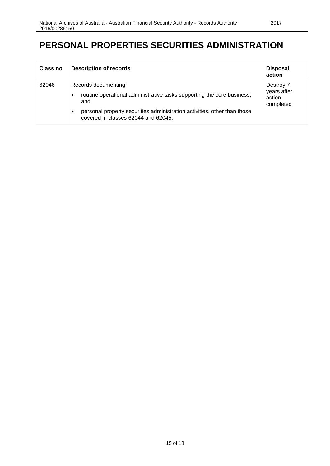# **PERSONAL PROPERTIES SECURITIES ADMINISTRATION**

| Class no | <b>Description of records</b>                                                                                                                                                                                                                      | <b>Disposal</b><br>action                       |
|----------|----------------------------------------------------------------------------------------------------------------------------------------------------------------------------------------------------------------------------------------------------|-------------------------------------------------|
| 62046    | Records documenting:<br>routine operational administrative tasks supporting the core business;<br>$\bullet$<br>and<br>personal property securities administration activities, other than those<br>$\bullet$<br>covered in classes 62044 and 62045. | Destroy 7<br>years after<br>action<br>completed |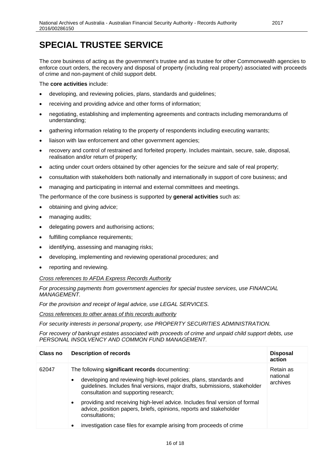### <span id="page-15-0"></span>**SPECIAL TRUSTEE SERVICE**

The core business of acting as the government's trustee and as trustee for other Commonwealth agencies to enforce court orders, the recovery and disposal of property (including real property) associated with proceeds of crime and non-payment of child support debt.

The **core activities** include:

- developing, and reviewing policies, plans, standards and guidelines;
- receiving and providing advice and other forms of information;
- negotiating, establishing and implementing agreements and contracts including memorandums of understanding;
- gathering information relating to the property of respondents including executing warrants;
- liaison with law enforcement and other government agencies;
- recovery and control of restrained and forfeited property. Includes maintain, secure, sale, disposal, realisation and/or return of property;
- acting under court orders obtained by other agencies for the seizure and sale of real property;
- consultation with stakeholders both nationally and internationally in support of core business; and
- managing and participating in internal and external committees and meetings.

The performance of the core business is supported by **general activities** such as:

- obtaining and giving advice;
- managing audits;
- delegating powers and authorising actions;
- fulfilling compliance requirements;
- identifying, assessing and managing risks;
- developing, implementing and reviewing operational procedures; and
- reporting and reviewing.

#### *Cross references to AFDA Express Records Authority*

*For processing payments from government agencies for special trustee services, use FINANCIAL MANAGEMENT.*

*For the provision and receipt of legal advice, use LEGAL SERVICES.*

*Cross references to other areas of this records authority*

*For security interests in personal property, use PROPERTY SECURITIES ADMINISTRATION.*

*For recovery of bankrupt estates associated with proceeds of crime and unpaid child support debts, use PERSONAL INSOLVENCY AND COMMON FUND MANAGEMENT.*

| <b>Class no</b> | <b>Description of records</b>                                                                                                                                                                                                                                                                                                                                                                                                                 | <b>Disposal</b><br>action         |
|-----------------|-----------------------------------------------------------------------------------------------------------------------------------------------------------------------------------------------------------------------------------------------------------------------------------------------------------------------------------------------------------------------------------------------------------------------------------------------|-----------------------------------|
| 62047           | The following significant records documenting:<br>developing and reviewing high-level policies, plans, standards and<br>$\bullet$<br>guidelines. Includes final versions, major drafts, submissions, stakeholder<br>consultation and supporting research;<br>providing and receiving high-level advice. Includes final version of formal<br>$\bullet$<br>advice, position papers, briefs, opinions, reports and stakeholder<br>consultations; | Retain as<br>national<br>archives |
|                 | investigation case files for example arising from proceeds of crime<br>٠                                                                                                                                                                                                                                                                                                                                                                      |                                   |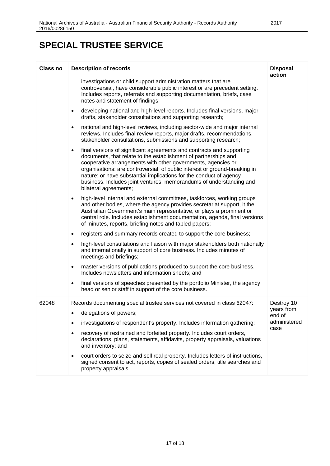# **SPECIAL TRUSTEE SERVICE**

| <b>Class no</b> | <b>Description of records</b>                                                                                                                                                                                                                                                                                                                                                                                                                                             | <b>Disposal</b><br>action |
|-----------------|---------------------------------------------------------------------------------------------------------------------------------------------------------------------------------------------------------------------------------------------------------------------------------------------------------------------------------------------------------------------------------------------------------------------------------------------------------------------------|---------------------------|
|                 | investigations or child support administration matters that are<br>controversial, have considerable public interest or are precedent setting.<br>Includes reports, referrals and supporting documentation, briefs, case<br>notes and statement of findings;                                                                                                                                                                                                               |                           |
|                 | developing national and high-level reports. Includes final versions, major<br>$\bullet$<br>drafts, stakeholder consultations and supporting research;                                                                                                                                                                                                                                                                                                                     |                           |
|                 | national and high-level reviews, including sector-wide and major internal<br>$\bullet$<br>reviews. Includes final review reports, major drafts, recommendations,<br>stakeholder consultations, submissions and supporting research;                                                                                                                                                                                                                                       |                           |
|                 | final versions of significant agreements and contracts and supporting<br>$\bullet$<br>documents, that relate to the establishment of partnerships and<br>cooperative arrangements with other governments, agencies or<br>organisations: are controversial, of public interest or ground-breaking in<br>nature; or have substantial implications for the conduct of agency<br>business. Includes joint ventures, memorandums of understanding and<br>bilateral agreements; |                           |
|                 | high-level internal and external committees, taskforces, working groups<br>$\bullet$<br>and other bodies, where the agency provides secretariat support, it the<br>Australian Government's main representative, or plays a prominent or<br>central role. Includes establishment documentation, agenda, final versions<br>of minutes, reports, briefing notes and tabled papers;                                                                                           |                           |
|                 | registers and summary records created to support the core business;<br>$\bullet$                                                                                                                                                                                                                                                                                                                                                                                          |                           |
|                 | high-level consultations and liaison with major stakeholders both nationally<br>$\bullet$<br>and internationally in support of core business. Includes minutes of<br>meetings and briefings;                                                                                                                                                                                                                                                                              |                           |
|                 | master versions of publications produced to support the core business.<br>$\bullet$<br>Includes newsletters and information sheets; and                                                                                                                                                                                                                                                                                                                                   |                           |
|                 | final versions of speeches presented by the portfolio Minister, the agency<br>$\bullet$<br>head or senior staff in support of the core business.                                                                                                                                                                                                                                                                                                                          |                           |
| 62048           | Records documenting special trustee services not covered in class 62047:                                                                                                                                                                                                                                                                                                                                                                                                  | Destroy 10                |
|                 | delegations of powers;<br>٠                                                                                                                                                                                                                                                                                                                                                                                                                                               | years from<br>end of      |
|                 | investigations of respondent's property. Includes information gathering;<br>$\bullet$                                                                                                                                                                                                                                                                                                                                                                                     | administered              |
|                 | recovery of restrained and forfeited property. Includes court orders,<br>$\bullet$<br>declarations, plans, statements, affidavits, property appraisals, valuations<br>and inventory; and                                                                                                                                                                                                                                                                                  | case                      |
|                 | court orders to seize and sell real property. Includes letters of instructions,<br>٠<br>signed consent to act, reports, copies of sealed orders, title searches and<br>property appraisals.                                                                                                                                                                                                                                                                               |                           |